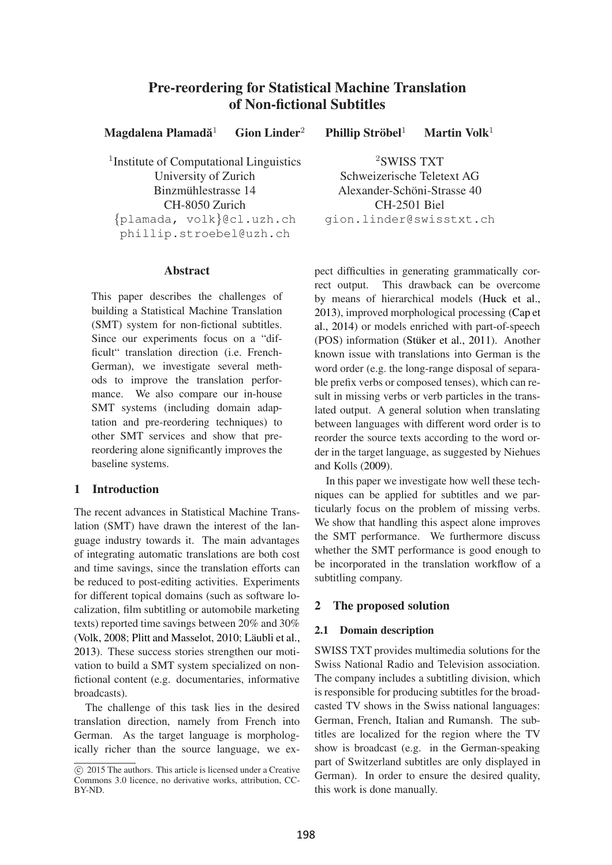# Pre-reordering for Statistical Machine Translation of Non-fictional Subtitles

Magdalena Plamadă $1$  $G$ ion Linder<sup>2</sup> Phillip Ströbel $<sup>1</sup>$ </sup> Martin Volk $1$ 

<sup>1</sup> Institute of Computational Linguistics University of Zurich Binzmühlestrasse 14 CH-8050 Zurich {plamada, volk}@cl.uzh.ch phillip.stroebel@uzh.ch

#### Abstract

This paper describes the challenges of building a Statistical Machine Translation (SMT) system for non-fictional subtitles. Since our experiments focus on a "difficult" translation direction (i.e. French-German), we investigate several methods to improve the translation performance. We also compare our in-house SMT systems (including domain adaptation and pre-reordering techniques) to other SMT services and show that prereordering alone significantly improves the baseline systems.

# 1 Introduction

The recent advances in Statistical Machine Translation (SMT) have drawn the interest of the language industry towards it. The main advantages of integrating automatic translations are both cost and time savings, since the translation efforts can be reduced to post-editing activities. Experiments for different topical domains (such as software localization, film subtitling or automobile marketing texts) reported time savings between 20% and 30% (Volk, 2008; Plitt and Masselot, 2010; Läubli et al., 2013). These success stories strengthen our motivation to build a SMT system specialized on nonfictional content (e.g. documentaries, informative broadcasts).

The challenge of this task lies in the desired translation direction, namely from French into German. As the target language is morphologically richer than the source language, we ex-

<sup>2</sup>SWISS TXT Schweizerische Teletext AG Alexander-Schöni-Strasse 40 CH-2501 Biel gion.linder@swisstxt.ch

pect difficulties in generating grammatically correct output. This drawback can be overcome by means of hierarchical models (Huck et al., 2013), improved morphological processing (Cap et al., 2014) or models enriched with part-of-speech (POS) information (Stüker et al., 2011). Another known issue with translations into German is the word order (e.g. the long-range disposal of separable prefix verbs or composed tenses), which can result in missing verbs or verb particles in the translated output. A general solution when translating between languages with different word order is to reorder the source texts according to the word order in the target language, as suggested by Niehues and Kolls (2009).

In this paper we investigate how well these techniques can be applied for subtitles and we particularly focus on the problem of missing verbs. We show that handling this aspect alone improves the SMT performance. We furthermore discuss whether the SMT performance is good enough to be incorporated in the translation workflow of a subtitling company.

# 2 The proposed solution

#### 2.1 Domain description

SWISS TXT provides multimedia solutions for the Swiss National Radio and Television association. The company includes a subtitling division, which is responsible for producing subtitles for the broadcasted TV shows in the Swiss national languages: German, French, Italian and Rumansh. The subtitles are localized for the region where the TV show is broadcast (e.g. in the German-speaking part of Switzerland subtitles are only displayed in German). In order to ensure the desired quality, this work is done manually.

 $\overline{c}$  2015 The authors. This article is licensed under a Creative Commons 3.0 licence, no derivative works, attribution, CC-BY-ND.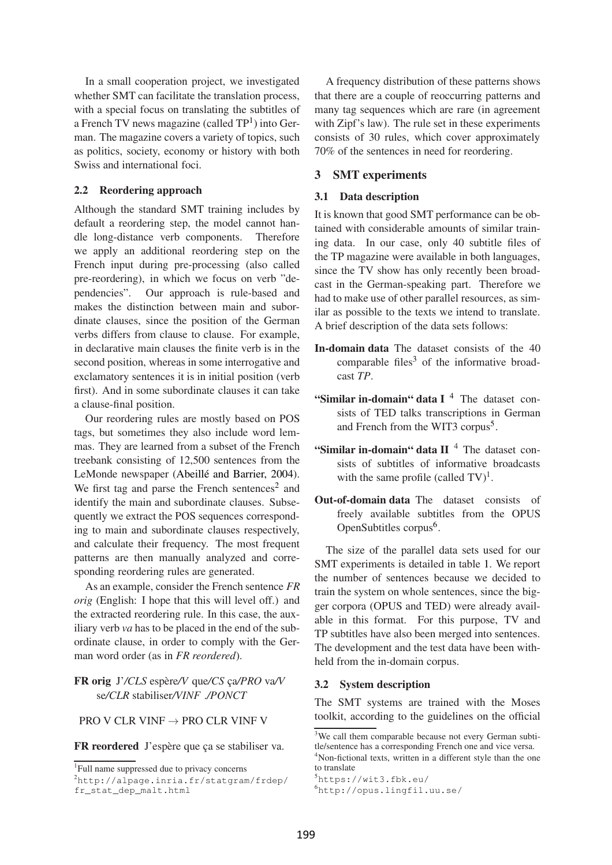In a small cooperation project, we investigated whether SMT can facilitate the translation process, with a special focus on translating the subtitles of a French TV news magazine (called  $TP<sup>1</sup>$ ) into German. The magazine covers a variety of topics, such as politics, society, economy or history with both Swiss and international foci.

## 2.2 Reordering approach

Although the standard SMT training includes by default a reordering step, the model cannot handle long-distance verb components. Therefore we apply an additional reordering step on the French input during pre-processing (also called pre-reordering), in which we focus on verb "dependencies". Our approach is rule-based and makes the distinction between main and subordinate clauses, since the position of the German verbs differs from clause to clause. For example, in declarative main clauses the finite verb is in the second position, whereas in some interrogative and exclamatory sentences it is in initial position (verb first). And in some subordinate clauses it can take a clause-final position.

Our reordering rules are mostly based on POS tags, but sometimes they also include word lemmas. They are learned from a subset of the French treebank consisting of 12,500 sentences from the LeMonde newspaper (Abeillé and Barrier, 2004). We first tag and parse the French sentences<sup>2</sup> and identify the main and subordinate clauses. Subsequently we extract the POS sequences corresponding to main and subordinate clauses respectively, and calculate their frequency. The most frequent patterns are then manually analyzed and corresponding reordering rules are generated.

As an example, consider the French sentence *FR orig* (English: I hope that this will level off.) and the extracted reordering rule. In this case, the auxiliary verb *va* has to be placed in the end of the subordinate clause, in order to comply with the German word order (as in *FR reordered*).

# FR orig J'/CLS espère/V que/CS ca/PRO va/V se*/CLR* stabiliser*/VINF* .*/PONCT*

PRO V CLR VINF  $\rightarrow$  PRO CLR VINF V

FR reordered J'espère que ça se stabiliser va.

<sup>2</sup>http://alpage.inria.fr/statgram/frdep/ fr\_stat\_dep\_malt.html

A frequency distribution of these patterns shows that there are a couple of reoccurring patterns and many tag sequences which are rare (in agreement with Zipf's law). The rule set in these experiments consists of 30 rules, which cover approximately 70% of the sentences in need for reordering.

## 3 SMT experiments

#### 3.1 Data description

It is known that good SMT performance can be obtained with considerable amounts of similar training data. In our case, only 40 subtitle files of the TP magazine were available in both languages, since the TV show has only recently been broadcast in the German-speaking part. Therefore we had to make use of other parallel resources, as similar as possible to the texts we intend to translate. A brief description of the data sets follows:

- In-domain data The dataset consists of the 40 comparable files $3$  of the informative broadcast *TP*.
- "Similar in-domain" data I $4$  The dataset consists of TED talks transcriptions in German and French from the WIT3 corpus<sup>5</sup>.
- "Similar in-domain" data  $II$ <sup>4</sup> The dataset consists of subtitles of informative broadcasts with the same profile (called  $TV$ )<sup>1</sup>.
- Out-of-domain data The dataset consists of freely available subtitles from the OPUS OpenSubtitles corpus<sup>6</sup>.

The size of the parallel data sets used for our SMT experiments is detailed in table 1. We report the number of sentences because we decided to train the system on whole sentences, since the bigger corpora (OPUS and TED) were already available in this format. For this purpose, TV and TP subtitles have also been merged into sentences. The development and the test data have been withheld from the in-domain corpus.

## 3.2 System description

The SMT systems are trained with the Moses toolkit, according to the guidelines on the official

<sup>1</sup> Full name suppressed due to privacy concerns

<sup>&</sup>lt;sup>3</sup>We call them comparable because not every German subtitle/sentence has a corresponding French one and vice versa.

<sup>&</sup>lt;sup>4</sup>Non-fictional texts, written in a different style than the one to translate

<sup>5</sup>https://wit3.fbk.eu/

<sup>6</sup>http://opus.lingfil.uu.se/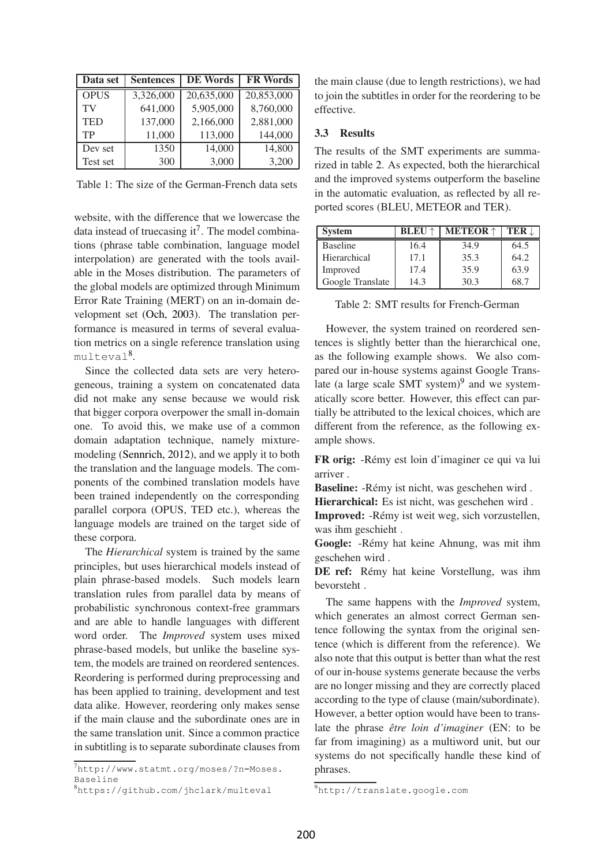| Data set    | <b>Sentences</b> | <b>DE Words</b> | <b>FR Words</b> |
|-------------|------------------|-----------------|-----------------|
| <b>OPUS</b> | 3,326,000        | 20,635,000      | 20,853,000      |
| TV          | 641,000          | 5,905,000       | 8,760,000       |
| <b>TED</b>  | 137,000          | 2,166,000       | 2,881,000       |
| TP          | 11,000           | 113,000         | 144,000         |
| Dev set     | 1350             | 14,000          | 14,800          |
| Test set    | 300              | 3,000           | 3,200           |

Table 1: The size of the German-French data sets

website, with the difference that we lowercase the data instead of truecasing it<sup>7</sup>. The model combinations (phrase table combination, language model interpolation) are generated with the tools available in the Moses distribution. The parameters of the global models are optimized through Minimum Error Rate Training (MERT) on an in-domain development set (Och, 2003). The translation performance is measured in terms of several evaluation metrics on a single reference translation using multeval<sup>8</sup>.

Since the collected data sets are very heterogeneous, training a system on concatenated data did not make any sense because we would risk that bigger corpora overpower the small in-domain one. To avoid this, we make use of a common domain adaptation technique, namely mixturemodeling (Sennrich, 2012), and we apply it to both the translation and the language models. The components of the combined translation models have been trained independently on the corresponding parallel corpora (OPUS, TED etc.), whereas the language models are trained on the target side of these corpora.

The *Hierarchical* system is trained by the same principles, but uses hierarchical models instead of plain phrase-based models. Such models learn translation rules from parallel data by means of probabilistic synchronous context-free grammars and are able to handle languages with different word order. The *Improved* system uses mixed phrase-based models, but unlike the baseline system, the models are trained on reordered sentences. Reordering is performed during preprocessing and has been applied to training, development and test data alike. However, reordering only makes sense if the main clause and the subordinate ones are in the same translation unit. Since a common practice in subtitling is to separate subordinate clauses from

<sup>7</sup>http://www.statmt.org/moses/?n=Moses. Baseline

the main clause (due to length restrictions), we had to join the subtitles in order for the reordering to be effective.

#### 3.3 Results

The results of the SMT experiments are summarized in table 2. As expected, both the hierarchical and the improved systems outperform the baseline in the automatic evaluation, as reflected by all reported scores (BLEU, METEOR and TER).

| <b>System</b>    | <b>BLEU</b> $\uparrow$ | <b>METEOR</b> $\uparrow$ | <b>TER</b> L |
|------------------|------------------------|--------------------------|--------------|
| <b>Baseline</b>  | 16.4                   | 34.9                     | 64.5         |
| Hierarchical     | 17.1                   | 35.3                     | 64.2         |
| Improved         | 17.4                   | 35.9                     | 63.9         |
| Google Translate | 14.3                   | 30.3                     | 68.7         |

Table 2: SMT results for French-German

However, the system trained on reordered sentences is slightly better than the hierarchical one, as the following example shows. We also compared our in-house systems against Google Translate (a large scale SMT system) $9$  and we systematically score better. However, this effect can partially be attributed to the lexical choices, which are different from the reference, as the following example shows.

FR orig: -Rémy est loin d'imaginer ce qui va lui arriver .

Baseline: -Rémy ist nicht, was geschehen wird . Hierarchical: Es ist nicht, was geschehen wird .

Improved: -Rémy ist weit weg, sich vorzustellen,

was ihm geschieht . Google: -Rémy hat keine Ahnung, was mit ihm geschehen wird .

DE ref: Rémy hat keine Vorstellung, was ihm bevorsteht .

The same happens with the *Improved* system, which generates an almost correct German sentence following the syntax from the original sentence (which is different from the reference). We also note that this output is better than what the rest of our in-house systems generate because the verbs are no longer missing and they are correctly placed according to the type of clause (main/subordinate). However, a better option would have been to translate the phrase *être loin d'imaginer (EN: to be* far from imagining) as a multiword unit, but our systems do not specifically handle these kind of phrases.

<sup>8</sup>https://github.com/jhclark/multeval

<sup>9</sup>http://translate.google.com